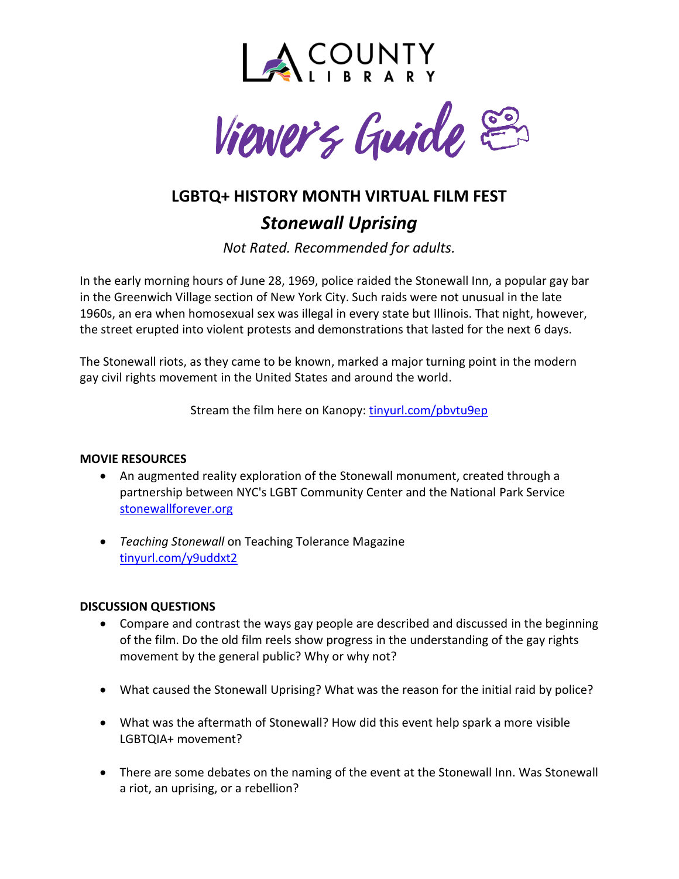



# **LGBTQ+ HISTORY MONTH VIRTUAL FILM FEST** *Stonewall Uprising*

*Not Rated. Recommended for adults.*

In the early morning hours of June 28, 1969, police raided the Stonewall Inn, a popular gay bar in the Greenwich Village section of New York City. Such raids were not unusual in the late 1960s, an era when homosexual sex was illegal in every state but Illinois. That night, however, the street erupted into violent protests and demonstrations that lasted for the next 6 days.

The Stonewall riots, as they came to be known, marked a major turning point in the modern gay civil rights movement in the United States and around the world.

Stream the film here on Kanopy: [tinyurl.com/pbvtu9ep](http://tinyurl.com/pbvtu9ep)

### **MOVIE RESOURCES**

- An augmented reality exploration of the Stonewall monument, created through a partnership between NYC's LGBT Community Center and the National Park Service [stonewallforever.org](https://stonewallforever.org/)
- *Teaching Stonewall* on Teaching Tolerance Magazine [tinyurl.com/y9uddxt2](https://tinyurl.com/y9uddxt2)

### **DISCUSSION QUESTIONS**

- Compare and contrast the ways gay people are described and discussed in the beginning of the film. Do the old film reels show progress in the understanding of the gay rights movement by the general public? Why or why not?
- What caused the Stonewall Uprising? What was the reason for the initial raid by police?
- What was the aftermath of Stonewall? How did this event help spark a more visible LGBTQIA+ movement?
- There are some debates on the naming of the event at the Stonewall Inn. Was Stonewall a riot, an uprising, or a rebellion?